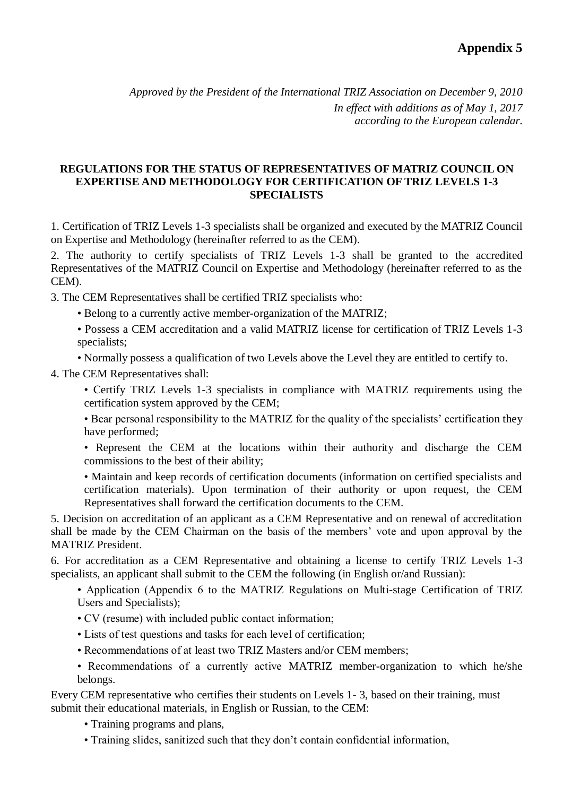*Approved by the President of the International TRIZ Association on December 9, 2010 In effect with additions as of May 1, 2017 according to the European calendar.*

## **REGULATIONS FOR THE STATUS OF REPRESENTATIVES OF MATRIZ COUNCIL ON EXPERTISE AND METHODOLOGY FOR CERTIFICATION OF TRIZ LEVELS 1-3 SPECIALISTS**

1. Certification of TRIZ Levels 1-3 specialists shall be organized and executed by the MATRIZ Council on Expertise and Methodology (hereinafter referred to as the CEM).

2. The authority to certify specialists of TRIZ Levels 1-3 shall be granted to the accredited Representatives of the MATRIZ Council on Expertise and Methodology (hereinafter referred to as the CEM).

3. The CEM Representatives shall be certified TRIZ specialists who:

- Belong to a currently active member-organization of the MATRIZ;
- Possess a CEM accreditation and a valid MATRIZ license for certification of TRIZ Levels 1-3 specialists;
- Normally possess a qualification of two Levels above the Level they are entitled to certify to.

4. The CEM Representatives shall:

• Certify TRIZ Levels 1-3 specialists in compliance with MATRIZ requirements using the certification system approved by the CEM;

• Bear personal responsibility to the MATRIZ for the quality of the specialists' certification they have performed;

• Represent the CEM at the locations within their authority and discharge the CEM commissions to the best of their ability;

• Maintain and keep records of certification documents (information on certified specialists and certification materials). Upon termination of their authority or upon request, the CEM Representatives shall forward the certification documents to the CEM.

5. Decision on accreditation of an applicant as a CEM Representative and on renewal of accreditation shall be made by the CEM Chairman on the basis of the members' vote and upon approval by the MATRIZ President.

6. For accreditation as a CEM Representative and obtaining a license to certify TRIZ Levels 1-3 specialists, an applicant shall submit to the CEM the following (in English or/and Russian):

• Application (Appendix 6 to the MATRIZ Regulations on Multi-stage Certification of TRIZ Users and Specialists);

- CV (resume) with included public contact information;
- Lists of test questions and tasks for each level of certification;
- Recommendations of at least two TRIZ Masters and/or CEM members;
- Recommendations of a currently active MATRIZ member-organization to which he/she belongs.

Every CEM representative who certifies their students on Levels 1- 3, based on their training, must submit their educational materials, in English or Russian, to the CEM:

- Training programs and plans,
- Training slides, sanitized such that they don't contain confidential information,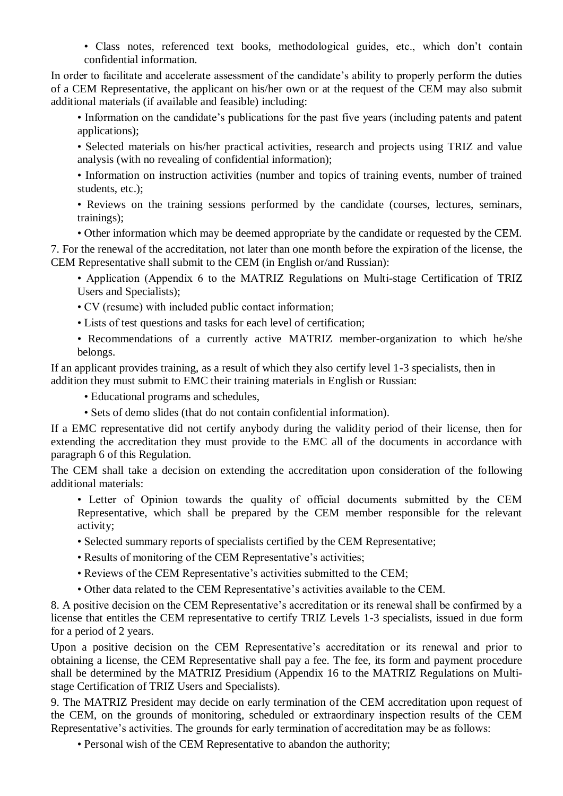• Class notes, referenced text books, methodological guides, etc., which don't contain confidential information.

In order to facilitate and accelerate assessment of the candidate's ability to properly perform the duties of a CEM Representative, the applicant on his/her own or at the request of the CEM may also submit additional materials (if available and feasible) including:

• Information on the candidate's publications for the past five years (including patents and patent applications);

• Selected materials on his/her practical activities, research and projects using TRIZ and value analysis (with no revealing of confidential information);

• Information on instruction activities (number and topics of training events, number of trained students, etc.);

• Reviews on the training sessions performed by the candidate (courses, lectures, seminars, trainings);

• Other information which may be deemed appropriate by the candidate or requested by the CEM.

7. For the renewal of the accreditation, not later than one month before the expiration of the license, the CEM Representative shall submit to the CEM (in English or/and Russian):

• Application (Appendix 6 to the MATRIZ Regulations on Multi-stage Certification of TRIZ Users and Specialists);

• CV (resume) with included public contact information;

• Lists of test questions and tasks for each level of certification;

• Recommendations of a currently active MATRIZ member-organization to which he/she belongs.

If an applicant provides training, as a result of which they also certify level 1-3 specialists, then in addition they must submit to EMC their training materials in English or Russian:

• Educational programs and schedules,

• Sets of demo slides (that do not contain confidential information).

If a EMC representative did not certify anybody during the validity period of their license, then for extending the accreditation they must provide to the EMC all of the documents in accordance with paragraph 6 of this Regulation.

The CEM shall take a decision on extending the accreditation upon consideration of the following additional materials:

• Letter of Opinion towards the quality of official documents submitted by the CEM Representative, which shall be prepared by the CEM member responsible for the relevant activity;

• Selected summary reports of specialists certified by the CEM Representative;

- Results of monitoring of the CEM Representative's activities;
- Reviews of the CEM Representative's activities submitted to the CEM;
- Other data related to the CEM Representative's activities available to the CEM.

8. A positive decision on the CEM Representative's accreditation or its renewal shall be confirmed by a license that entitles the CEM representative to certify TRIZ Levels 1-3 specialists, issued in due form for a period of 2 years.

Upon a positive decision on the CEM Representative's accreditation or its renewal and prior to obtaining a license, the CEM Representative shall pay a fee. The fee, its form and payment procedure shall be determined by the MATRIZ Presidium (Appendix 16 to the MATRIZ Regulations on Multistage Certification of TRIZ Users and Specialists).

9. The MATRIZ President may decide on early termination of the CEM accreditation upon request of the CEM, on the grounds of monitoring, scheduled or extraordinary inspection results of the CEM Representative's activities. The grounds for early termination of accreditation may be as follows:

• Personal wish of the CEM Representative to abandon the authority;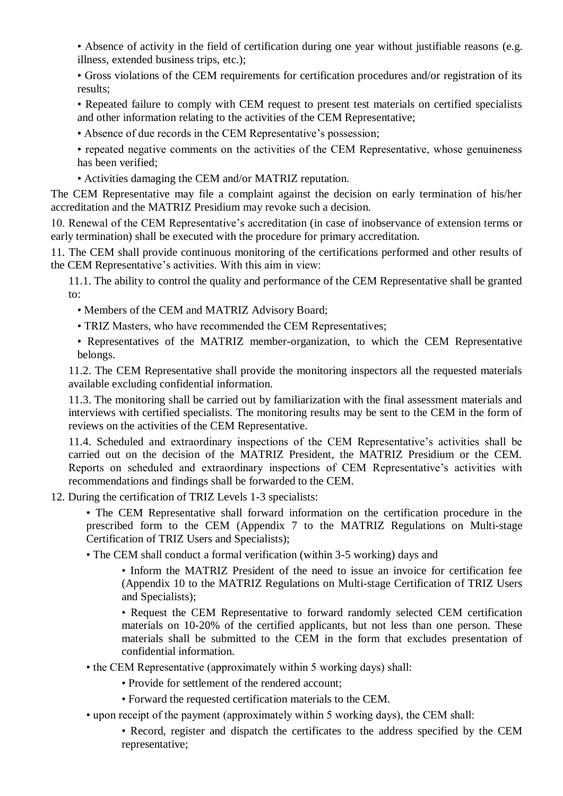• Absence of activity in the field of certification during one year without justifiable reasons (e.g. illness, extended business trips, etc.);

• Gross violations of the CEM requirements for certification procedures and/or registration of its results;

• Repeated failure to comply with CEM request to present test materials on certified specialists and other information relating to the activities of the CEM Representative;

• Absence of due records in the CEM Representative's possession;

• repeated negative comments on the activities of the CEM Representative, whose genuineness has been verified;

• Activities damaging the CEM and/or MATRIZ reputation.

The CEM Representative may file a complaint against the decision on early termination of his/her accreditation and the MATRIZ Presidium may revoke such a decision.

10. Renewal of the CEM Representative's accreditation (in case of inobservance of extension terms or early termination) shall be executed with the procedure for primary accreditation.

11. The CEM shall provide continuous monitoring of the certifications performed and other results of the CEM Representative's activities. With this aim in view:

11.1. The ability to control the quality and performance of the CEM Representative shall be granted to:

- Members of the CEM and MATRIZ Advisory Board;
- TRIZ Masters, who have recommended the CEM Representatives;
- Representatives of the MATRIZ member-organization, to which the CEM Representative belongs.

11.2. The CEM Representative shall provide the monitoring inspectors all the requested materials available excluding confidential information.

11.3. The monitoring shall be carried out by familiarization with the final assessment materials and interviews with certified specialists. The monitoring results may be sent to the CEM in the form of reviews on the activities of the CEM Representative.

11.4. Scheduled and extraordinary inspections of the CEM Representative's activities shall be carried out on the decision of the MATRIZ President, the MATRIZ Presidium or the CEM. Reports on scheduled and extraordinary inspections of CEM Representative's activities with recommendations and findings shall be forwarded to the CEM.

12. During the certification of TRIZ Levels 1-3 specialists:

• The CEM Representative shall forward information on the certification procedure in the prescribed form to the CEM (Appendix 7 to the MATRIZ Regulations on Multi-stage Certification of TRIZ Users and Specialists);

• The CEM shall conduct a formal verification (within 3-5 working) days and

• Inform the MATRIZ President of the need to issue an invoice for certification fee (Appendix 10 to the MATRIZ Regulations on Multi-stage Certification of TRIZ Users and Specialists);

• Request the CEM Representative to forward randomly selected CEM certification materials on 10-20% of the certified applicants, but not less than one person. These materials shall be submitted to the CEM in the form that excludes presentation of confidential information.

- the CEM Representative (approximately within 5 working days) shall:
	- Provide for settlement of the rendered account;
	- Forward the requested certification materials to the CEM.
- upon receipt of the payment (approximately within 5 working days), the CEM shall:

• Record, register and dispatch the certificates to the address specified by the CEM representative;